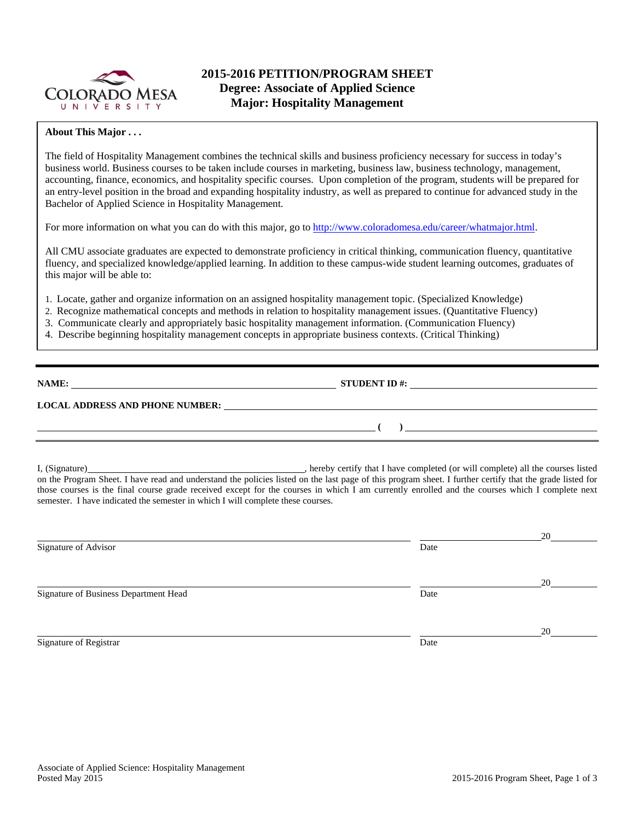

# **2015-2016 PETITION/PROGRAM SHEET Degree: Associate of Applied Science Major: Hospitality Management**

### **About This Major . . .**

The field of Hospitality Management combines the technical skills and business proficiency necessary for success in today's business world. Business courses to be taken include courses in marketing, business law, business technology, management, accounting, finance, economics, and hospitality specific courses. Upon completion of the program, students will be prepared for an entry-level position in the broad and expanding hospitality industry, as well as prepared to continue for advanced study in the Bachelor of Applied Science in Hospitality Management.

For more information on what you can do with this major, go to http://www.coloradomesa.edu/career/whatmajor.html.

All CMU associate graduates are expected to demonstrate proficiency in critical thinking, communication fluency, quantitative fluency, and specialized knowledge/applied learning. In addition to these campus-wide student learning outcomes, graduates of this major will be able to:

- 1. Locate, gather and organize information on an assigned hospitality management topic. (Specialized Knowledge)
- 2. Recognize mathematical concepts and methods in relation to hospitality management issues. (Quantitative Fluency)
- 3. Communicate clearly and appropriately basic hospitality management information. (Communication Fluency)
- 4. Describe beginning hospitality management concepts in appropriate business contexts. (Critical Thinking)

| NAME:                                  | <b>STUDENT ID#:</b> |
|----------------------------------------|---------------------|
| <b>LOCAL ADDRESS AND PHONE NUMBER:</b> |                     |
|                                        |                     |

I, (Signature) , hereby certify that I have completed (or will complete) all the courses listed on the Program Sheet. I have read and understand the policies listed on the last page of this program sheet. I further certify that the grade listed for those courses is the final course grade received except for the courses in which I am currently enrolled and the courses which I complete next semester. I have indicated the semester in which I will complete these courses.

|                                       |      | 20 |
|---------------------------------------|------|----|
| Signature of Advisor                  | Date |    |
|                                       |      |    |
|                                       |      | 20 |
| Signature of Business Department Head | Date |    |
|                                       |      |    |
|                                       |      | 20 |
| Signature of Registrar                | Date |    |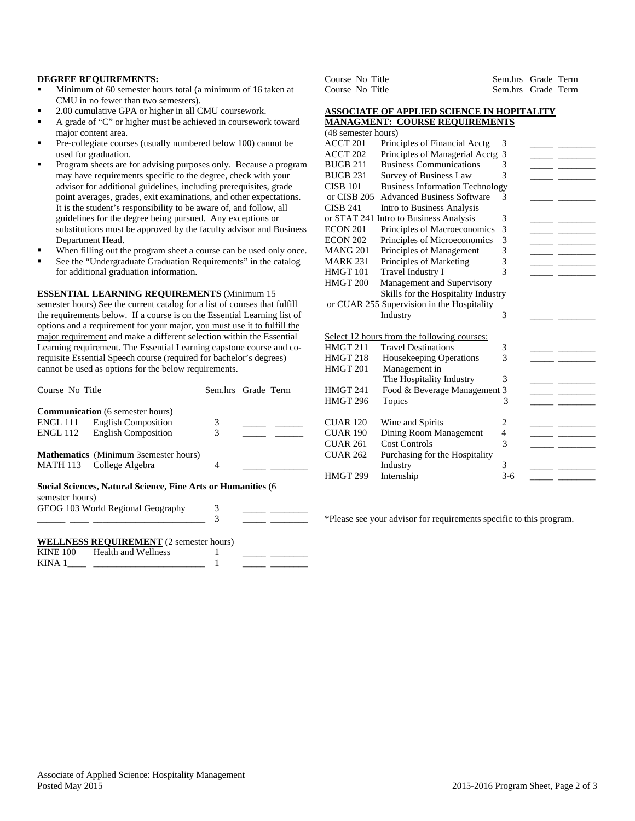#### **DEGREE REQUIREMENTS:**

- Minimum of 60 semester hours total (a minimum of 16 taken at CMU in no fewer than two semesters).
- 2.00 cumulative GPA or higher in all CMU coursework.
- A grade of "C" or higher must be achieved in coursework toward major content area.
- Pre-collegiate courses (usually numbered below 100) cannot be used for graduation.
- Program sheets are for advising purposes only. Because a program may have requirements specific to the degree, check with your advisor for additional guidelines, including prerequisites, grade point averages, grades, exit examinations, and other expectations. It is the student's responsibility to be aware of, and follow, all guidelines for the degree being pursued. Any exceptions or substitutions must be approved by the faculty advisor and Business Department Head.
- When filling out the program sheet a course can be used only once.
- See the "Undergraduate Graduation Requirements" in the catalog for additional graduation information.

**ESSENTIAL LEARNING REQUIREMENTS** (Minimum 15 semester hours) See the current catalog for a list of courses that fulfill the requirements below. If a course is on the Essential Learning list of options and a requirement for your major, you must use it to fulfill the major requirement and make a different selection within the Essential Learning requirement. The Essential Learning capstone course and corequisite Essential Speech course (required for bachelor's degrees) cannot be used as options for the below requirements.

| Course No Title | Sem.hrs Grade Term                                           |   |  |
|-----------------|--------------------------------------------------------------|---|--|
|                 | <b>Communication</b> (6 semester hours)                      |   |  |
|                 | ENGL 111 English Composition                                 | 3 |  |
| ENGL 112        | <b>English Composition</b>                                   | 3 |  |
|                 | <b>Mathematics</b> (Minimum 3 semester hours)                |   |  |
|                 | MATH 113 College Algebra                                     | 4 |  |
| semester hours) | Social Sciences, Natural Science, Fine Arts or Humanities (6 |   |  |
|                 | GEOG 103 World Regional Geography                            | 3 |  |
|                 |                                                              | 3 |  |
|                 | <b>WELLNESS REQUIREMENT</b> (2 semester hours)               |   |  |

| KINE 100 | Health and Wellness |  |  |
|----------|---------------------|--|--|
| KIN A    |                     |  |  |

| Course No Title | Sem.hrs Grade Term |
|-----------------|--------------------|
| Course No Title | Sem.hrs Grade Term |

#### **ASSOCIATE OF APPLIED SCIENCE IN HOPITALITY MANAGMENT: COURSE REQUIREMENTS**

|                     | $\sim$                                      |       |  |
|---------------------|---------------------------------------------|-------|--|
| (48 semester hours) |                                             |       |  |
| <b>ACCT 201</b>     | Principles of Financial Acctg               | 3     |  |
| ACCT <sub>202</sub> | Principles of Managerial Acctg              | 3     |  |
| <b>BUGB 211</b>     | <b>Business Communications</b>              | 3     |  |
| <b>BUGB 231</b>     | <b>Survey of Business Law</b>               | 3     |  |
| <b>CISB 101</b>     | <b>Business Information Technology</b>      |       |  |
| or CISB 205         | <b>Advanced Business Software</b>           | 3     |  |
| <b>CISB 241</b>     | Intro to Business Analysis                  |       |  |
|                     | or STAT 241 Intro to Business Analysis      | 3     |  |
| <b>ECON 201</b>     | Principles of Macroeconomics                | 3     |  |
| <b>ECON 202</b>     | Principles of Microeconomics                | 3     |  |
| <b>MANG 201</b>     | Principles of Management                    | 3     |  |
| <b>MARK 231</b>     | Principles of Marketing                     | 3     |  |
| HMGT 101            | Travel Industry I                           | 3     |  |
| HMGT <sub>200</sub> | Management and Supervisory                  |       |  |
|                     | Skills for the Hospitality Industry         |       |  |
|                     | or CUAR 255 Supervision in the Hospitality  |       |  |
|                     | Industry                                    | 3     |  |
|                     | Select 12 hours from the following courses: |       |  |
| HMGT 211            | <b>Travel Destinations</b>                  | 3     |  |
| HMGT 218            | <b>Housekeeping Operations</b>              | 3     |  |
| HMGT 201            | Management in                               |       |  |
|                     | The Hospitality Industry                    | 3     |  |
| HMGT 241            | Food & Beverage Management 3                |       |  |
| <b>HMGT 296</b>     | Topics                                      | 3     |  |
| <b>CUAR 120</b>     | Wine and Spirits                            | 2     |  |
| <b>CUAR 190</b>     | Dining Room Management                      | 4     |  |
| <b>CUAR 261</b>     | <b>Cost Controls</b>                        | 3     |  |
| <b>CUAR 262</b>     | Purchasing for the Hospitality              |       |  |
|                     | Industry                                    | 3     |  |
| <b>HMGT 299</b>     | Internship                                  | $3-6$ |  |

\*Please see your advisor for requirements specific to this program.